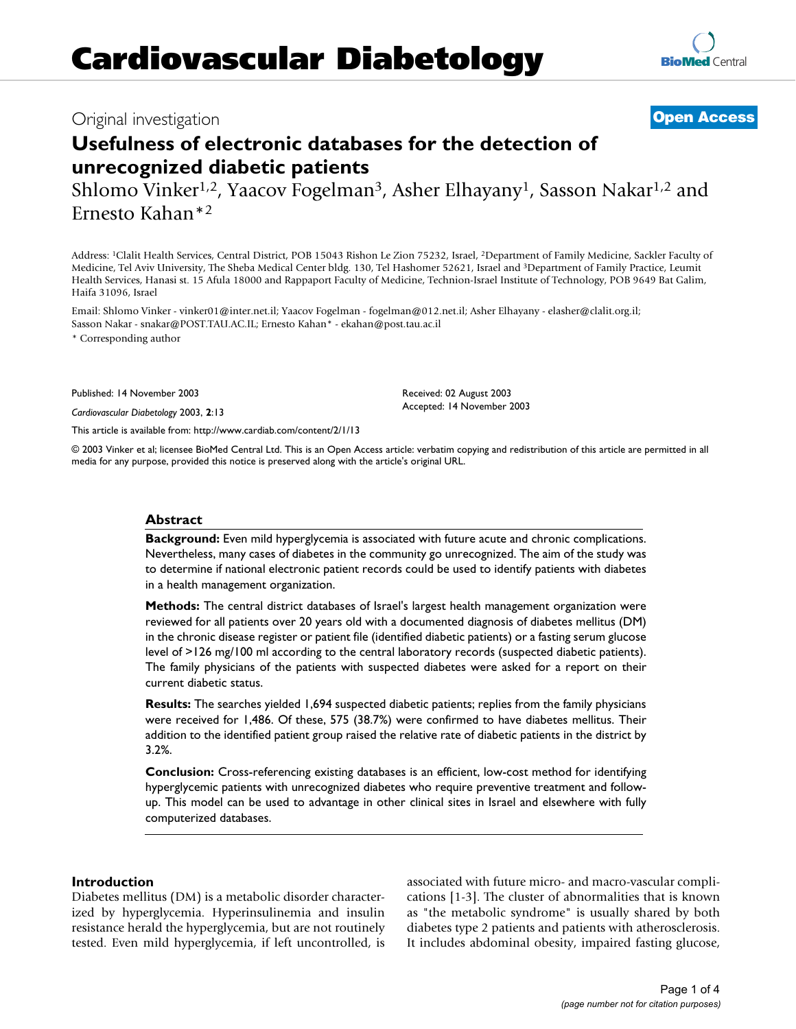# Original investigation **[Open Access](http://www.biomedcentral.com/info/about/charter/)**

# **Usefulness of electronic databases for the detection of unrecognized diabetic patients**

Shlomo Vinker<sup>1,2</sup>, Yaacov Fogelman<sup>3</sup>, Asher Elhayany<sup>1</sup>, Sasson Nakar<sup>1,2</sup> and Ernesto Kahan\*2

Address: 1Clalit Health Services, Central District, POB 15043 Rishon Le Zion 75232, Israel, 2Department of Family Medicine, Sackler Faculty of Medicine, Tel Aviv University, The Sheba Medical Center bldg. 130, Tel Hashomer 52621, Israel and 3Department of Family Practice, Leumit Health Services, Hanasi st. 15 Afula 18000 and Rappaport Faculty of Medicine, Technion-Israel Institute of Technology, POB 9649 Bat Galim, Haifa 31096, Israel

Email: Shlomo Vinker - vinker01@inter.net.il; Yaacov Fogelman - fogelman@012.net.il; Asher Elhayany - elasher@clalit.org.il; Sasson Nakar - snakar@POST.TAU.AC.IL; Ernesto Kahan\* - ekahan@post.tau.ac.il

\* Corresponding author

Published: 14 November 2003

*Cardiovascular Diabetology* 2003, **2**:13

[This article is available from: http://www.cardiab.com/content/2/1/13](http://www.cardiab.com/content/2/1/13)

© 2003 Vinker et al; licensee BioMed Central Ltd. This is an Open Access article: verbatim copying and redistribution of this article are permitted in all media for any purpose, provided this notice is preserved along with the article's original URL.

Received: 02 August 2003 Accepted: 14 November 2003

#### **Abstract**

**Background:** Even mild hyperglycemia is associated with future acute and chronic complications. Nevertheless, many cases of diabetes in the community go unrecognized. The aim of the study was to determine if national electronic patient records could be used to identify patients with diabetes in a health management organization.

**Methods:** The central district databases of Israel's largest health management organization were reviewed for all patients over 20 years old with a documented diagnosis of diabetes mellitus (DM) in the chronic disease register or patient file (identified diabetic patients) or a fasting serum glucose level of >126 mg/100 ml according to the central laboratory records (suspected diabetic patients). The family physicians of the patients with suspected diabetes were asked for a report on their current diabetic status.

**Results:** The searches yielded 1,694 suspected diabetic patients; replies from the family physicians were received for 1,486. Of these, 575 (38.7%) were confirmed to have diabetes mellitus. Their addition to the identified patient group raised the relative rate of diabetic patients in the district by 3.2%.

**Conclusion:** Cross-referencing existing databases is an efficient, low-cost method for identifying hyperglycemic patients with unrecognized diabetes who require preventive treatment and followup. This model can be used to advantage in other clinical sites in Israel and elsewhere with fully computerized databases.

## **Introduction**

Diabetes mellitus (DM) is a metabolic disorder characterized by hyperglycemia. Hyperinsulinemia and insulin resistance herald the hyperglycemia, but are not routinely tested. Even mild hyperglycemia, if left uncontrolled, is associated with future micro- and macro-vascular complications [1-3]. The cluster of abnormalities that is known as "the metabolic syndrome" is usually shared by both diabetes type 2 patients and patients with atherosclerosis. It includes abdominal obesity, impaired fasting glucose,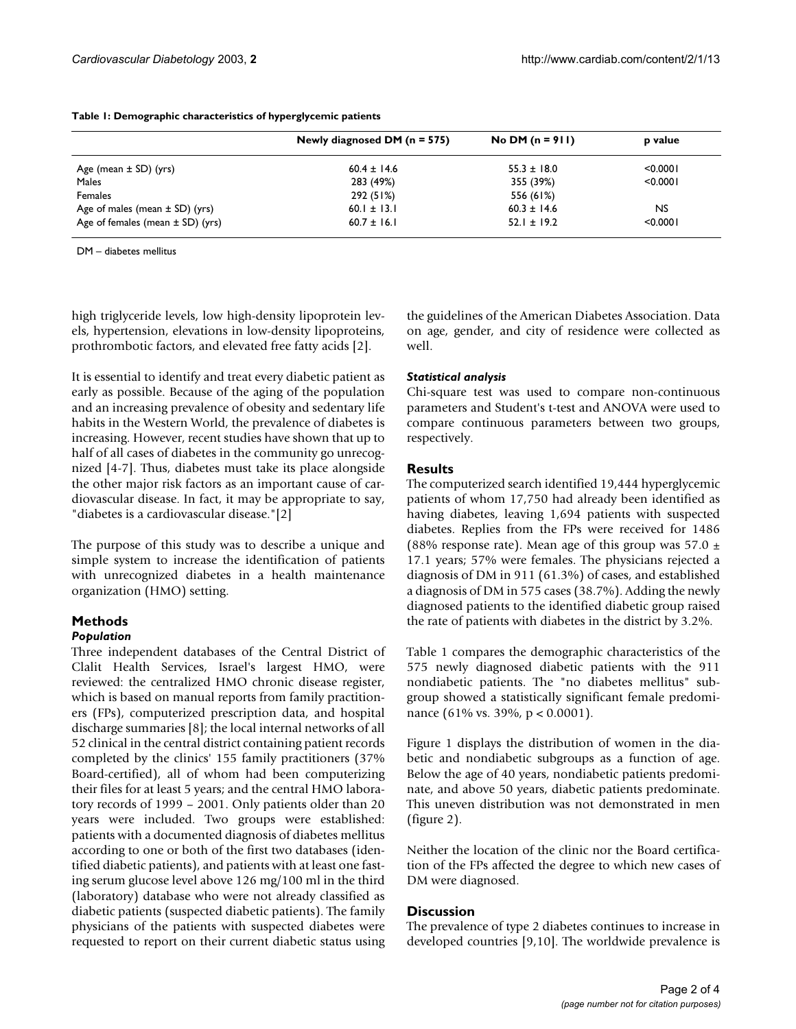|                                      | Newly diagnosed DM $(n = 575)$ | No DM $(n = 911)$ | p value   |
|--------------------------------------|--------------------------------|-------------------|-----------|
| Age (mean ± SD) (yrs)                | $60.4 \pm 14.6$                | $55.3 \pm 18.0$   | < 0.0001  |
| Males                                | 283 (49%)                      | 355 (39%)         | < 0.0001  |
| Females                              | 292 (51%)                      | 556 (61%)         |           |
| Age of males (mean $\pm$ SD) (yrs)   | 60.1 $\pm$ 13.1                | $60.3 \pm 14.6$   | <b>NS</b> |
| Age of females (mean $\pm$ SD) (yrs) | $60.7 \pm 16.1$                | $52.1 \pm 19.2$   | < 0.0001  |

#### <span id="page-1-0"></span>**Table 1: Demographic characteristics of hyperglycemic patients**

DM – diabetes mellitus

high triglyceride levels, low high-density lipoprotein levels, hypertension, elevations in low-density lipoproteins, prothrombotic factors, and elevated free fatty acids [2].

It is essential to identify and treat every diabetic patient as early as possible. Because of the aging of the population and an increasing prevalence of obesity and sedentary life habits in the Western World, the prevalence of diabetes is increasing. However, recent studies have shown that up to half of all cases of diabetes in the community go unrecognized [4-7]. Thus, diabetes must take its place alongside the other major risk factors as an important cause of cardiovascular disease. In fact, it may be appropriate to say, "diabetes is a cardiovascular disease."[2]

The purpose of this study was to describe a unique and simple system to increase the identification of patients with unrecognized diabetes in a health maintenance organization (HMO) setting.

# **Methods**

# *Population*

Three independent databases of the Central District of Clalit Health Services, Israel's largest HMO, were reviewed: the centralized HMO chronic disease register, which is based on manual reports from family practitioners (FPs), computerized prescription data, and hospital discharge summaries [8]; the local internal networks of all 52 clinical in the central district containing patient records completed by the clinics' 155 family practitioners (37% Board-certified), all of whom had been computerizing their files for at least 5 years; and the central HMO laboratory records of 1999 – 2001. Only patients older than 20 years were included. Two groups were established: patients with a documented diagnosis of diabetes mellitus according to one or both of the first two databases (identified diabetic patients), and patients with at least one fasting serum glucose level above 126 mg/100 ml in the third (laboratory) database who were not already classified as diabetic patients (suspected diabetic patients). The family physicians of the patients with suspected diabetes were requested to report on their current diabetic status using the guidelines of the American Diabetes Association. Data on age, gender, and city of residence were collected as well.

# *Statistical analysis*

Chi-square test was used to compare non-continuous parameters and Student's t-test and ANOVA were used to compare continuous parameters between two groups, respectively.

# **Results**

The computerized search identified 19,444 hyperglycemic patients of whom 17,750 had already been identified as having diabetes, leaving 1,694 patients with suspected diabetes. Replies from the FPs were received for 1486 (88% response rate). Mean age of this group was  $57.0 \pm 1$ 17.1 years; 57% were females. The physicians rejected a diagnosis of DM in 911 (61.3%) of cases, and established a diagnosis of DM in 575 cases (38.7%). Adding the newly diagnosed patients to the identified diabetic group raised the rate of patients with diabetes in the district by 3.2%.

Table [1](#page-1-0) compares the demographic characteristics of the 575 newly diagnosed diabetic patients with the 911 nondiabetic patients. The "no diabetes mellitus" subgroup showed a statistically significant female predominance (61% vs. 39%, p < 0.0001).

Figure [1](#page-2-0) displays the distribution of women in the diabetic and nondiabetic subgroups as a function of age. Below the age of 40 years, nondiabetic patients predominate, and above 50 years, diabetic patients predominate. This uneven distribution was not demonstrated in men (figure 2).

Neither the location of the clinic nor the Board certification of the FPs affected the degree to which new cases of DM were diagnosed.

# **Discussion**

The prevalence of type 2 diabetes continues to increase in developed countries [9,10]. The worldwide prevalence is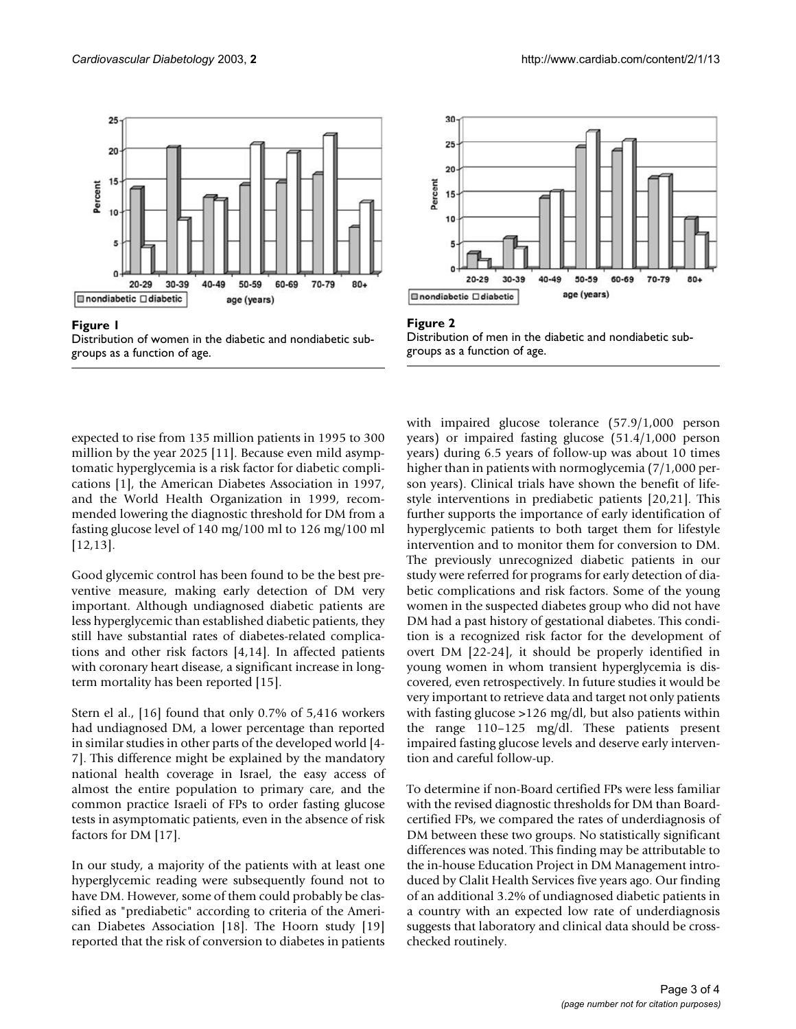<span id="page-2-0"></span>

# Distribution of women in the groups as a function of age **Figure 1** diabetic and nondiabetic sub-



expected to rise from 135 million patients in 1995 to 300 million by the year 2025 [11]. Because even mild asymptomatic hyperglycemia is a risk factor for diabetic complications [1], the American Diabetes Association in 1997, and the World Health Organization in 1999, recommended lowering the diagnostic threshold for DM from a fasting glucose level of 140 mg/100 ml to 126 mg/100 ml [12,13].

Good glycemic control has been found to be the best preventive measure, making early detection of DM very important. Although undiagnosed diabetic patients are less hyperglycemic than established diabetic patients, they still have substantial rates of diabetes-related complications and other risk factors [4,14]. In affected patients with coronary heart disease, a significant increase in longterm mortality has been reported [15].

Stern el al., [16] found that only 0.7% of 5,416 workers had undiagnosed DM, a lower percentage than reported in similar studies in other parts of the developed world [4- 7]. This difference might be explained by the mandatory national health coverage in Israel, the easy access of almost the entire population to primary care, and the common practice Israeli of FPs to order fasting glucose tests in asymptomatic patients, even in the absence of risk factors for DM [17].

In our study, a majority of the patients with at least one hyperglycemic reading were subsequently found not to have DM. However, some of them could probably be classified as "prediabetic" according to criteria of the American Diabetes Association [18]. The Hoorn study [19] reported that the risk of conversion to diabetes in patients



#### Figure 2 Distribution of men in the diabetic and nondiabetic subgroups as a function of age.

with impaired glucose tolerance (57.9/1,000 person years) or impaired fasting glucose (51.4/1,000 person years) during 6.5 years of follow-up was about 10 times higher than in patients with normoglycemia (7/1,000 person years). Clinical trials have shown the benefit of lifestyle interventions in prediabetic patients [20,21]. This further supports the importance of early identification of hyperglycemic patients to both target them for lifestyle intervention and to monitor them for conversion to DM. The previously unrecognized diabetic patients in our study were referred for programs for early detection of diabetic complications and risk factors. Some of the young women in the suspected diabetes group who did not have DM had a past history of gestational diabetes. This condition is a recognized risk factor for the development of overt DM [22-24], it should be properly identified in young women in whom transient hyperglycemia is discovered, even retrospectively. In future studies it would be very important to retrieve data and target not only patients with fasting glucose >126 mg/dl, but also patients within the range 110–125 mg/dl. These patients present impaired fasting glucose levels and deserve early intervention and careful follow-up.

To determine if non-Board certified FPs were less familiar with the revised diagnostic thresholds for DM than Boardcertified FPs, we compared the rates of underdiagnosis of DM between these two groups. No statistically significant differences was noted. This finding may be attributable to the in-house Education Project in DM Management introduced by Clalit Health Services five years ago. Our finding of an additional 3.2% of undiagnosed diabetic patients in a country with an expected low rate of underdiagnosis suggests that laboratory and clinical data should be crosschecked routinely.